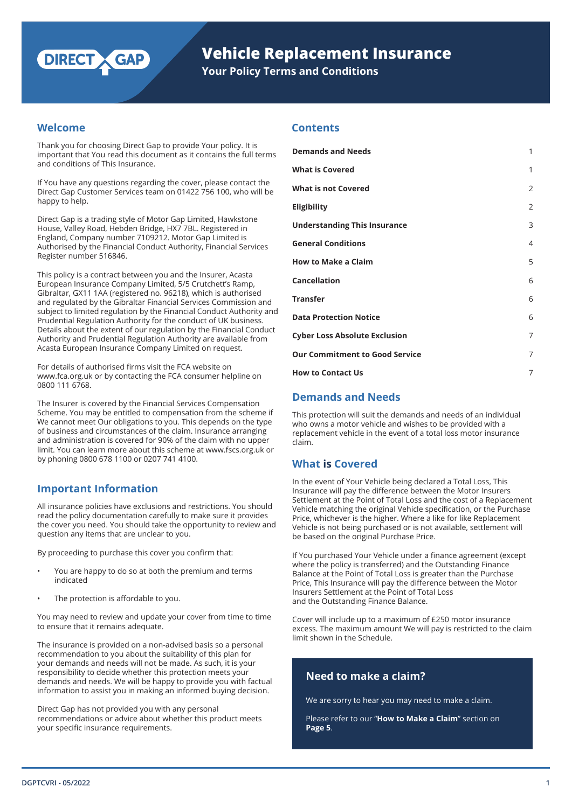

# **Vehicle Replacement Insurance**

**Your Policy Terms and Conditions**

## **Welcome**

Thank you for choosing Direct Gap to provide Your policy. It is important that You read this document as it contains the full terms and conditions of This Insurance.

If You have any questions regarding the cover, please contact the Direct Gap Customer Services team on 01422 756 100, who will be happy to help.

Direct Gap is a trading style of Motor Gap Limited, Hawkstone House, Valley Road, Hebden Bridge, HX7 7BL. Registered in England, Company number 7109212. Motor Gap Limited is Authorised by the Financial Conduct Authority, Financial Services Register number 516846.

This policy is a contract between you and the Insurer, Acasta European Insurance Company Limited, 5/5 Crutchett's Ramp, Gibraltar, GX11 1AA (registered no. 96218), which is authorised and regulated by the Gibraltar Financial Services Commission and subject to limited regulation by the Financial Conduct Authority and Prudential Regulation Authority for the conduct of UK business. Details about the extent of our regulation by the Financial Conduct Authority and Prudential Regulation Authority are available from Acasta European Insurance Company Limited on request.

For details of authorised firms visit the FCA website on www.fca.org.uk or by contacting the FCA consumer helpline on 0800 111 6768.

The Insurer is covered by the Financial Services Compensation Scheme. You may be entitled to compensation from the scheme if We cannot meet Our obligations to you. This depends on the type of business and circumstances of the claim. Insurance arranging and administration is covered for 90% of the claim with no upper limit. You can learn more about this scheme at www.fscs.org.uk or by phoning 0800 678 1100 or 0207 741 4100.

All insurance policies have exclusions and restrictions. You should read the policy documentation carefully to make sure it provides the cover you need. You should take the opportunity to review and question any items that are unclear to you.

By proceeding to purchase this cover you confirm that:

- You are happy to do so at both the premium and terms indicated
- The protection is affordable to you.

You may need to review and update your cover from time to time to ensure that it remains adequate.

The insurance is provided on a non-advised basis so a personal recommendation to you about the suitability of this plan for your demands and needs will not be made. As such, it is your responsibility to decide whether this protection meets your demands and needs. We will be happy to provide you with factual information to assist you in making an informed buying decision.

Direct Gap has not provided you with any personal recommendations or advice about whether this product meets your specific insurance requirements.

## **Contents**

| <b>Demands and Needs</b>              | 1              |
|---------------------------------------|----------------|
| <b>What is Covered</b>                | 1              |
| <b>What is not Covered</b>            | $\overline{2}$ |
| <b>Eligibility</b>                    | $\overline{2}$ |
| <b>Understanding This Insurance</b>   | 3              |
| <b>General Conditions</b>             | $\overline{4}$ |
| <b>How to Make a Claim</b>            | 5              |
| <b>Cancellation</b>                   | 6              |
| <b>Transfer</b>                       | 6              |
| <b>Data Protection Notice</b>         | 6              |
| <b>Cyber Loss Absolute Exclusion</b>  | 7              |
| <b>Our Commitment to Good Service</b> | 7              |
| <b>How to Contact Us</b>              | 7              |

## **Demands and Needs**

This protection will suit the demands and needs of an individual who owns a motor vehicle and wishes to be provided with a replacement vehicle in the event of a total loss motor insurance claim.

## **What is Covered**

In the event of Your Vehicle being declared a Total Loss, This<br>Insurance will pay the difference between the Motor Insurers Settlement at the Point of Total Loss and the cost of a Replacement Vehicle matching the original Vehicle specification, or the Purchase Price, whichever is the higher. Where a like for like Replacement Vehicle is not being purchased or is not available, settlement will be based on the original Purchase Price.

> If You purchased Your Vehicle under a finance agreement (except where the policy is transferred) and the Outstanding Finance Balance at the Point of Total Loss is greater than the Purchase Price, This Insurance will pay the difference between the Motor Insurers Settlement at the Point of Total Loss and the Outstanding Finance Balance.

Cover will include up to a maximum of £250 motor insurance excess. The maximum amount We will pay is restricted to the claim limit shown in the Schedule.

## **Need to make a claim?**

We are sorry to hear you may need to make a claim.

Please refer to our "**How to Make a Claim**" section on **Page 5**.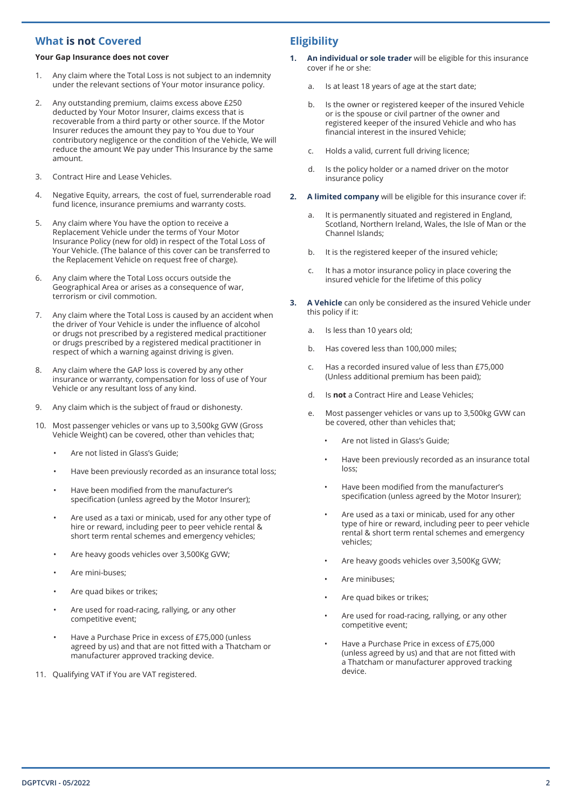## **What is not Covered**

### **Your Gap Insurance does not cover**

- 1. Any claim where the Total Loss is not subject to an indemnity under the relevant sections of Your motor insurance policy.
- 2. Any outstanding premium, claims excess above £250 deducted by Your Motor Insurer, claims excess that is recoverable from a third party or other source. If the Motor Insurer reduces the amount they pay to You due to Your contributory negligence or the condition of the Vehicle, We will reduce the amount We pay under This Insurance by the same amount.
- 3. Contract Hire and Lease Vehicles.
- 4. Negative Equity, arrears, the cost of fuel, surrenderable road fund licence, insurance premiums and warranty costs.
- 5. Any claim where You have the option to receive a Replacement Vehicle under the terms of Your Motor Insurance Policy (new for old) in respect of the Total Loss of Your Vehicle. (The balance of this cover can be transferred to the Replacement Vehicle on request free of charge).
- 6. Any claim where the Total Loss occurs outside the Geographical Area or arises as a consequence of war, terrorism or civil commotion.
- 7. Any claim where the Total Loss is caused by an accident when the driver of Your Vehicle is under the influence of alcohol or drugs not prescribed by a registered medical practitioner or drugs prescribed by a registered medical practitioner in respect of which a warning against driving is given.
- 8. Any claim where the GAP loss is covered by any other insurance or warranty, compensation for loss of use of Your Vehicle or any resultant loss of any kind.
- 9. Any claim which is the subject of fraud or dishonesty.
- 10. Most passenger vehicles or vans up to 3,500kg GVW (Gross Vehicle Weight) can be covered, other than vehicles that;
	- Are not listed in Glass's Guide;
	- Have been previously recorded as an insurance total loss;
	- Have been modified from the manufacturer's specification (unless agreed by the Motor Insurer);
	- Are used as a taxi or minicab, used for any other type of hire or reward, including peer to peer vehicle rental & short term rental schemes and emergency vehicles;
	- Are heavy goods vehicles over 3,500Kg GVW;
	- Are mini-buses;
	- Are quad bikes or trikes;
	- Are used for road-racing, rallying, or any other competitive event;
	- Have a Purchase Price in excess of £75,000 (unless agreed by us) and that are not fitted with a Thatcham or manufacturer approved tracking device.
- 11. Qualifying VAT if You are VAT registered.

## **Eligibility**

- **1. An individual or sole trader** will be eligible for this insurance cover if he or she:
	- a. Is at least 18 years of age at the start date;
	- b. Is the owner or registered keeper of the insured Vehicle or is the spouse or civil partner of the owner and registered keeper of the insured Vehicle and who has financial interest in the insured Vehicle;
	- c. Holds a valid, current full driving licence;
	- d. Is the policy holder or a named driver on the motor insurance policy
- **2. A limited company** will be eligible for this insurance cover if:
	- a. It is permanently situated and registered in England, Scotland, Northern Ireland, Wales, the Isle of Man or the Channel Islands;
	- b. It is the registered keeper of the insured vehicle;
	- c. It has a motor insurance policy in place covering the insured vehicle for the lifetime of this policy
- **3. A Vehicle** can only be considered as the insured Vehicle under this policy if it:
	- a. Is less than 10 years old;
	- b. Has covered less than 100,000 miles;
	- c. Has a recorded insured value of less than £75,000 (Unless additional premium has been paid);
	- d. Is **not** a Contract Hire and Lease Vehicles;
	- e. Most passenger vehicles or vans up to 3,500kg GVW can be covered, other than vehicles that;
		- Are not listed in Glass's Guide;
		- Have been previously recorded as an insurance total loss;
		- Have been modified from the manufacturer's specification (unless agreed by the Motor Insurer);
		- Are used as a taxi or minicab, used for any other type of hire or reward, including peer to peer vehicle rental & short term rental schemes and emergency vehicles;
		- Are heavy goods vehicles over 3,500Kg GVW;
		- Are minibuses;
		- Are quad bikes or trikes:
		- Are used for road-racing, rallying, or any other competitive event;
		- Have a Purchase Price in excess of £75,000 (unless agreed by us) and that are not fitted with a Thatcham or manufacturer approved tracking device.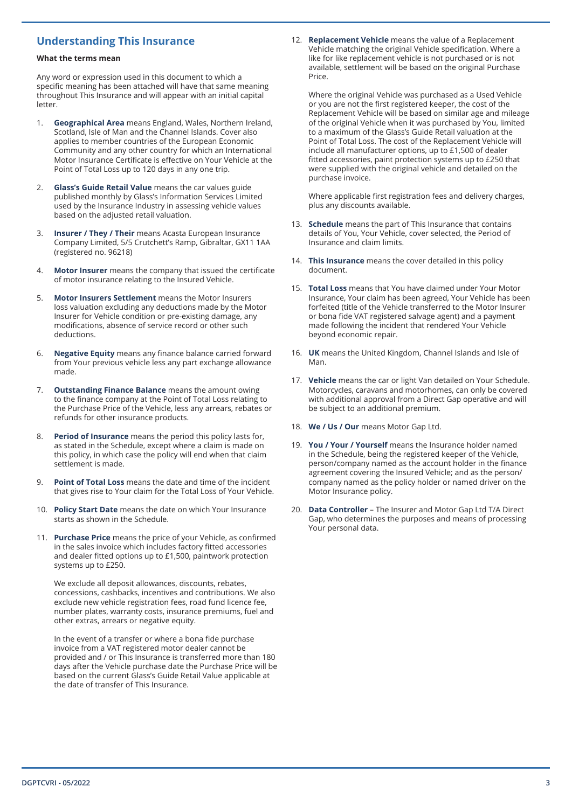## **Understanding This Insurance**

#### **What the terms mean**

Any word or expression used in this document to which a specific meaning has been attached will have that same meaning throughout This Insurance and will appear with an initial capital letter.

- 1. **Geographical Area** means England, Wales, Northern Ireland, Scotland, Isle of Man and the Channel Islands. Cover also applies to member countries of the European Economic Community and any other country for which an International Motor Insurance Certificate is effective on Your Vehicle at the Point of Total Loss up to 120 days in any one trip.
- 2. **Glass's Guide Retail Value** means the car values guide published monthly by Glass's Information Services Limited used by the Insurance Industry in assessing vehicle values based on the adjusted retail valuation.
- **Insurer / They / Their** means Acasta European Insurance Company Limited, 5/5 Crutchett's Ramp, Gibraltar, GX11 1AA (registered no. 96218)
- 4. **Motor Insurer** means the company that issued the certificate of motor insurance relating to the Insured Vehicle.
- 5. **Motor Insurers Settlement** means the Motor Insurers loss valuation excluding any deductions made by the Motor Insurer for Vehicle condition or pre-existing damage, any modifications, absence of service record or other such deductions.
- 6. **Negative Equity** means any finance balance carried forward from Your previous vehicle less any part exchange allowance made.
- **Outstanding Finance Balance** means the amount owing to the finance company at the Point of Total Loss relating to the Purchase Price of the Vehicle, less any arrears, rebates or refunds for other insurance products.
- 8. **Period of Insurance** means the period this policy lasts for, as stated in the Schedule, except where a claim is made on this policy, in which case the policy will end when that claim settlement is made.
- **Point of Total Loss** means the date and time of the incident that gives rise to Your claim for the Total Loss of Your Vehicle.
- 10. **Policy Start Date** means the date on which Your Insurance starts as shown in the Schedule.
- 11. **Purchase Price** means the price of your Vehicle, as confirmed in the sales invoice which includes factory fitted accessories and dealer fitted options up to £1,500, paintwork protection systems up to £250.

We exclude all deposit allowances, discounts, rebates, concessions, cashbacks, incentives and contributions. We also exclude new vehicle registration fees, road fund licence fee, number plates, warranty costs, insurance premiums, fuel and other extras, arrears or negative equity.

In the event of a transfer or where a bona fide purchase invoice from a VAT registered motor dealer cannot be provided and / or This Insurance is transferred more than 180 days after the Vehicle purchase date the Purchase Price will be based on the current Glass's Guide Retail Value applicable at the date of transfer of This Insurance.

12. **Replacement Vehicle** means the value of a Replacement Vehicle matching the original Vehicle specification. Where a like for like replacement vehicle is not purchased or is not available, settlement will be based on the original Purchase Price.

Where the original Vehicle was purchased as a Used Vehicle or you are not the first registered keeper, the cost of the Replacement Vehicle will be based on similar age and mileage of the original Vehicle when it was purchased by You, limited to a maximum of the Glass's Guide Retail valuation at the Point of Total Loss. The cost of the Replacement Vehicle will include all manufacturer options, up to £1,500 of dealer fitted accessories, paint protection systems up to £250 that were supplied with the original vehicle and detailed on the purchase invoice.

Where applicable first registration fees and delivery charges, plus any discounts available.

- 13. **Schedule** means the part of This Insurance that contains details of You, Your Vehicle, cover selected, the Period of Insurance and claim limits.
- 14. **This Insurance** means the cover detailed in this policy document.
- 15. **Total Loss** means that You have claimed under Your Motor Insurance, Your claim has been agreed, Your Vehicle has been forfeited (title of the Vehicle transferred to the Motor Insurer or bona fide VAT registered salvage agent) and a payment made following the incident that rendered Your Vehicle beyond economic repair.
- 16. **UK** means the United Kingdom, Channel Islands and Isle of Man.
- 17. **Vehicle** means the car or light Van detailed on Your Schedule. Motorcycles, caravans and motorhomes, can only be covered with additional approval from a Direct Gap operative and will be subject to an additional premium.
- 18. **We / Us / Our** means Motor Gap Ltd.
- 19. **You / Your / Yourself** means the Insurance holder named in the Schedule, being the registered keeper of the Vehicle, person/company named as the account holder in the finance agreement covering the Insured Vehicle; and as the person/ company named as the policy holder or named driver on the Motor Insurance policy.
- 20. **Data Controller** The Insurer and Motor Gap Ltd T/A Direct Gap, who determines the purposes and means of processing Your personal data.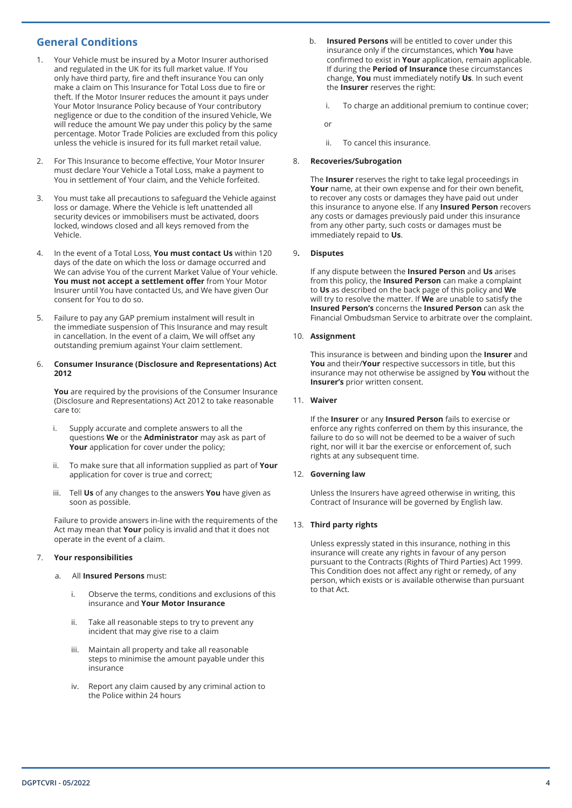## **General Conditions**

- 1. Your Vehicle must be insured by a Motor Insurer authorised and regulated in the UK for its full market value. If You only have third party, fire and theft insurance You can only make a claim on This Insurance for Total Loss due to fire or theft. If the Motor Insurer reduces the amount it pays under Your Motor Insurance Policy because of Your contributory negligence or due to the condition of the insured Vehicle, We will reduce the amount We pay under this policy by the same percentage. Motor Trade Policies are excluded from this policy unless the vehicle is insured for its full market retail value.
- 2. For This Insurance to become effective, Your Motor Insurer must declare Your Vehicle a Total Loss, make a payment to You in settlement of Your claim, and the Vehicle forfeited.
- 3. You must take all precautions to safeguard the Vehicle against loss or damage. Where the Vehicle is left unattended all security devices or immobilisers must be activated, doors locked, windows closed and all keys removed from the Vehicle.
- 4. In the event of a Total Loss, **You must contact Us** within 120 days of the date on which the loss or damage occurred and We can advise You of the current Market Value of Your vehicle. **You must not accept a settlement offer** from Your Motor Insurer until You have contacted Us, and We have given Our consent for You to do so.
- 5. Failure to pay any GAP premium instalment will result in the immediate suspension of This Insurance and may result in cancellation. In the event of a claim, We will offset any outstanding premium against Your claim settlement.

#### 6. **Consumer Insurance (Disclosure and Representations) Act 2012**

**You** are required by the provisions of the Consumer Insurance (Disclosure and Representations) Act 2012 to take reasonable care to:

- i. Supply accurate and complete answers to all the questions **We** or the **Administrator** may ask as part of **Your** application for cover under the policy;
- ii. To make sure that all information supplied as part of **Your**  application for cover is true and correct;
- iii. Tell **Us** of any changes to the answers **You** have given as soon as possible.

Failure to provide answers in-line with the requirements of the Act may mean that **Your** policy is invalid and that it does not operate in the event of a claim.

#### 7. **Your responsibilities**

#### a. All **Insured Persons** must:

- i. Observe the terms, conditions and exclusions of this insurance and **Your Motor Insurance**
- ii. Take all reasonable steps to try to prevent any incident that may give rise to a claim
- iii. Maintain all property and take all reasonable steps to minimise the amount payable under this insurance
- iv. Report any claim caused by any criminal action to the Police within 24 hours
- b. **Insured Persons** will be entitled to cover under this insurance only if the circumstances, which **You** have confirmed to exist in **Your** application, remain applicable. If during the **Period of Insurance** these circumstances change, **You** must immediately notify **Us**. In such event the **Insurer** reserves the right:
	- i. To charge an additional premium to continue cover;

or

ii. To cancel this insurance.

#### 8. **Recoveries/Subrogation**

The **Insurer** reserves the right to take legal proceedings in **Your** name, at their own expense and for their own benefit, to recover any costs or damages they have paid out under this insurance to anyone else. If any **Insured Person** recovers any costs or damages previously paid under this insurance from any other party, such costs or damages must be immediately repaid to **Us**.

#### 9**. Disputes**

If any dispute between the **Insured Person** and **Us** arises from this policy, the **Insured Person** can make a complaint to **Us** as described on the back page of this policy and **We** will try to resolve the matter. If **We** are unable to satisfy the **Insured Person's** concerns the **Insured Person** can ask the Financial Ombudsman Service to arbitrate over the complaint.

#### 10. **Assignment**

This insurance is between and binding upon the **Insurer** and **You** and their/**Your** respective successors in title, but this insurance may not otherwise be assigned by **You** without the **Insurer's** prior written consent.

#### 11. **Waiver**

If the **Insurer** or any **Insured Person** fails to exercise or enforce any rights conferred on them by this insurance, the failure to do so will not be deemed to be a waiver of such right, nor will it bar the exercise or enforcement of, such rights at any subsequent time.

#### 12. **Governing law**

Unless the Insurers have agreed otherwise in writing, this Contract of Insurance will be governed by English law.

#### 13. **Third party rights**

Unless expressly stated in this insurance, nothing in this insurance will create any rights in favour of any person pursuant to the Contracts (Rights of Third Parties) Act 1999. This Condition does not affect any right or remedy, of any person, which exists or is available otherwise than pursuant to that Act.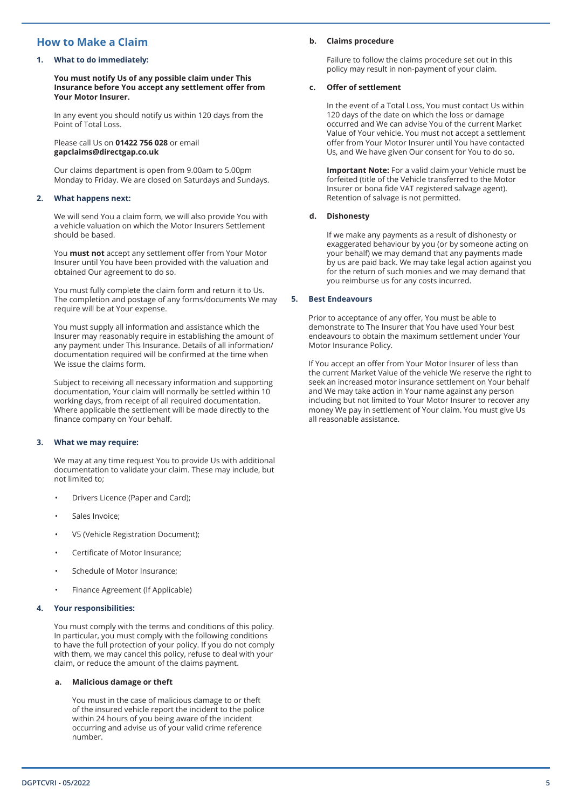## **How to Make a Claim**

#### **1. What to do immediately:**

**You must notify Us of any possible claim under This Insurance before You accept any settlement offer from Your Motor Insurer.**

In any event you should notify us within 120 days from the Point of Total Loss.

Please call Us on **01422 756 028** or email **gapclaims@directgap.co.uk**

Our claims department is open from 9.00am to 5.00pm Monday to Friday. We are closed on Saturdays and Sundays.

#### **2. What happens next:**

We will send You a claim form, we will also provide You with a vehicle valuation on which the Motor Insurers Settlement should be based.

You **must not** accept any settlement offer from Your Motor Insurer until You have been provided with the valuation and obtained Our agreement to do so.

You must fully complete the claim form and return it to Us. The completion and postage of any forms/documents We may require will be at Your expense.

You must supply all information and assistance which the Insurer may reasonably require in establishing the amount of any payment under This Insurance. Details of all information/ documentation required will be confirmed at the time when We issue the claims form.

Subject to receiving all necessary information and supporting documentation, Your claim will normally be settled within 10 working days, from receipt of all required documentation. Where applicable the settlement will be made directly to the finance company on Your behalf.

#### **3. What we may require:**

We may at any time request You to provide Us with additional documentation to validate your claim. These may include, but not limited to;

- Drivers Licence (Paper and Card);
- Sales Invoice:
- V5 (Vehicle Registration Document);
- Certificate of Motor Insurance;
- Schedule of Motor Insurance;
- Finance Agreement (If Applicable)

#### **4. Your responsibilities:**

You must comply with the terms and conditions of this policy. In particular, you must comply with the following conditions to have the full protection of your policy. If you do not comply with them, we may cancel this policy, refuse to deal with your claim, or reduce the amount of the claims payment.

#### **a. Malicious damage or theft**

You must in the case of malicious damage to or theft of the insured vehicle report the incident to the police within 24 hours of you being aware of the incident occurring and advise us of your valid crime reference number.

#### **b. Claims procedure**

Failure to follow the claims procedure set out in this policy may result in non-payment of your claim.

#### **c. Offer of settlement**

In the event of a Total Loss, You must contact Us within 120 days of the date on which the loss or damage occurred and We can advise You of the current Market Value of Your vehicle. You must not accept a settlement offer from Your Motor Insurer until You have contacted Us, and We have given Our consent for You to do so.

**Important Note:** For a valid claim your Vehicle must be forfeited (title of the Vehicle transferred to the Motor Insurer or bona fide VAT registered salvage agent). Retention of salvage is not permitted.

#### **d. Dishonesty**

If we make any payments as a result of dishonesty or exaggerated behaviour by you (or by someone acting on your behalf) we may demand that any payments made by us are paid back. We may take legal action against you for the return of such monies and we may demand that you reimburse us for any costs incurred.

#### **5. Best Endeavours**

Prior to acceptance of any offer, You must be able to demonstrate to The Insurer that You have used Your best endeavours to obtain the maximum settlement under Your Motor Insurance Policy.

If You accept an offer from Your Motor Insurer of less than the current Market Value of the vehicle We reserve the right to seek an increased motor insurance settlement on Your behalf and We may take action in Your name against any person including but not limited to Your Motor Insurer to recover any money We pay in settlement of Your claim. You must give Us all reasonable assistance.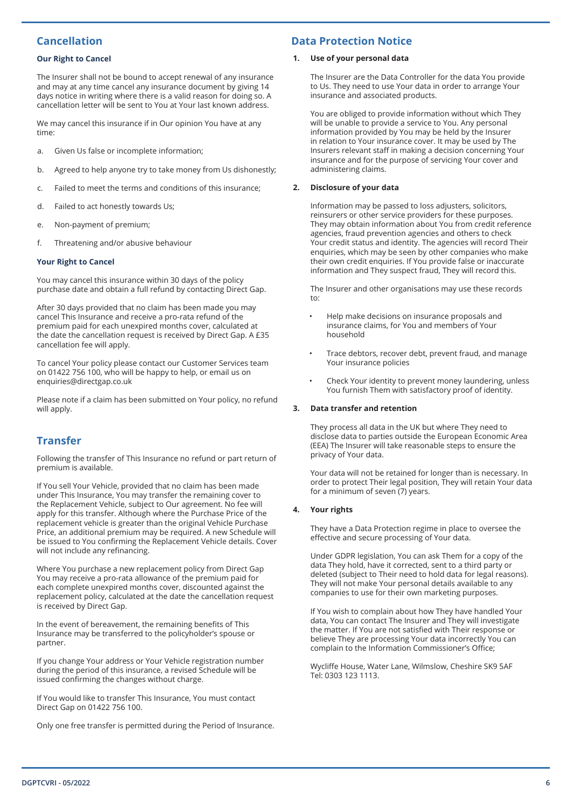## **Cancellation**

#### **Our Right to Cancel**

The Insurer shall not be bound to accept renewal of any insurance and may at any time cancel any insurance document by giving 14 days notice in writing where there is a valid reason for doing so. A cancellation letter will be sent to You at Your last known address.

We may cancel this insurance if in Our opinion You have at any time:

- a. Given Us false or incomplete information;
- b. Agreed to help anyone try to take money from Us dishonestly;
- c. Failed to meet the terms and conditions of this insurance;
- d. Failed to act honestly towards Us;
- e. Non-payment of premium;
- f. Threatening and/or abusive behaviour

#### **Your Right to Cancel**

You may cancel this insurance within 30 days of the policy purchase date and obtain a full refund by contacting Direct Gap.

After 30 days provided that no claim has been made you may cancel This Insurance and receive a pro-rata refund of the premium paid for each unexpired months cover, calculated at the date the cancellation request is received by Direct Gap. A £35 cancellation fee will apply.

To cancel Your policy please contact our Customer Services team on 01422 756 100, who will be happy to help, or email us on enquiries@directgap.co.uk

Please note if a claim has been submitted on Your policy, no refund will apply.

## **Transfer**

Following the transfer of This Insurance no refund or part return of premium is available.

If You sell Your Vehicle, provided that no claim has been made under This Insurance, You may transfer the remaining cover to the Replacement Vehicle, subject to Our agreement. No fee will apply for this transfer. Although where the Purchase Price of the replacement vehicle is greater than the original Vehicle Purchase Price, an additional premium may be required. A new Schedule will be issued to You confirming the Replacement Vehicle details. Cover will not include any refinancing.

Where You purchase a new replacement policy from Direct Gap You may receive a pro-rata allowance of the premium paid for each complete unexpired months cover, discounted against the replacement policy, calculated at the date the cancellation request is received by Direct Gap.

In the event of bereavement, the remaining benefits of This Insurance may be transferred to the policyholder's spouse or partner.

If you change Your address or Your Vehicle registration number during the period of this insurance, a revised Schedule will be issued confirming the changes without charge.

If You would like to transfer This Insurance, You must contact Direct Gap on 01422 756 100.

Only one free transfer is permitted during the Period of Insurance.

## **Data Protection Notice**

#### **1. Use of your personal data**

The Insurer are the Data Controller for the data You provide to Us. They need to use Your data in order to arrange Your insurance and associated products.

You are obliged to provide information without which They will be unable to provide a service to You. Any personal information provided by You may be held by the Insurer in relation to Your insurance cover. It may be used by The Insurers relevant staff in making a decision concerning Your insurance and for the purpose of servicing Your cover and administering claims.

#### **2. Disclosure of your data**

Information may be passed to loss adjusters, solicitors, reinsurers or other service providers for these purposes. They may obtain information about You from credit reference agencies, fraud prevention agencies and others to check Your credit status and identity. The agencies will record Their enquiries, which may be seen by other companies who make their own credit enquiries. If You provide false or inaccurate information and They suspect fraud, They will record this.

The Insurer and other organisations may use these records to:

- Help make decisions on insurance proposals and insurance claims, for You and members of Your household
- Trace debtors, recover debt, prevent fraud, and manage Your insurance policies
- Check Your identity to prevent money laundering, unless You furnish Them with satisfactory proof of identity.

#### **3. Data transfer and retention**

They process all data in the UK but where They need to disclose data to parties outside the European Economic Area (EEA) The Insurer will take reasonable steps to ensure the privacy of Your data.

Your data will not be retained for longer than is necessary. In order to protect Their legal position, They will retain Your data for a minimum of seven (7) years.

#### **4. Your rights**

They have a Data Protection regime in place to oversee the effective and secure processing of Your data.

Under GDPR legislation, You can ask Them for a copy of the data They hold, have it corrected, sent to a third party or deleted (subject to Their need to hold data for legal reasons). They will not make Your personal details available to any companies to use for their own marketing purposes.

If You wish to complain about how They have handled Your data, You can contact The Insurer and They will investigate the matter. If You are not satisfied with Their response or believe They are processing Your data incorrectly You can complain to the Information Commissioner's Office;

Wycliffe House, Water Lane, Wilmslow, Cheshire SK9 5AF Tel: 0303 123 1113.